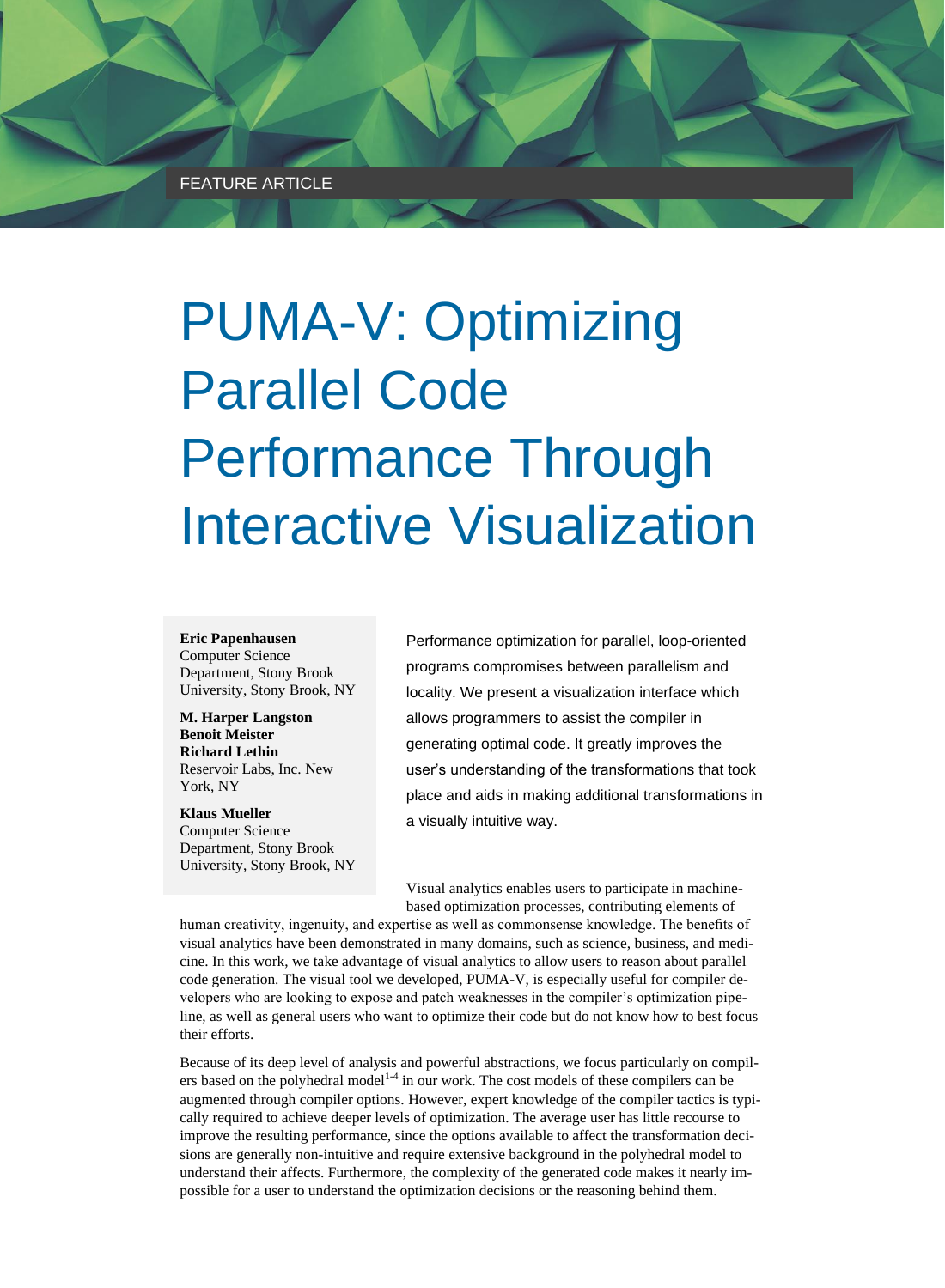# PUMA-V: Optimizing Parallel Code Performance Through Interactive Visualization

**Eric Papenhausen** Computer Science Department, Stony Brook University, Stony Brook, NY

**M. Harper Langston Benoit Meister Richard Lethin** Reservoir Labs, Inc. New York, NY

**Klaus Mueller** Computer Science Department, Stony Brook University, Stony Brook, NY Performance optimization for parallel, loop-oriented programs compromises between parallelism and locality. We present a visualization interface which allows programmers to assist the compiler in generating optimal code. It greatly improves the user's understanding of the transformations that took place and aids in making additional transformations in a visually intuitive way.

Visual analytics enables users to participate in machinebased optimization processes, contributing elements of

human creativity, ingenuity, and expertise as well as commonsense knowledge. The benefits of visual analytics have been demonstrated in many domains, such as science, business, and medicine. In this work, we take advantage of visual analytics to allow users to reason about parallel code generation. The visual tool we developed, PUMA-V, is especially useful for compiler developers who are looking to expose and patch weaknesses in the compiler's optimization pipeline, as well as general users who want to optimize their code but do not know how to best focus their efforts.

Because of its deep level of analysis and powerful abstractions, we focus particularly on compilers based on the polyhedral model<sup>14</sup> in our work. The cost models of these compilers can be augmented through compiler options. However, expert knowledge of the compiler tactics is typically required to achieve deeper levels of optimization. The average user has little recourse to improve the resulting performance, since the options available to affect the transformation decisions are generally non-intuitive and require extensive background in the polyhedral model to understand their affects. Furthermore, the complexity of the generated code makes it nearly impossible for a user to understand the optimization decisions or the reasoning behind them.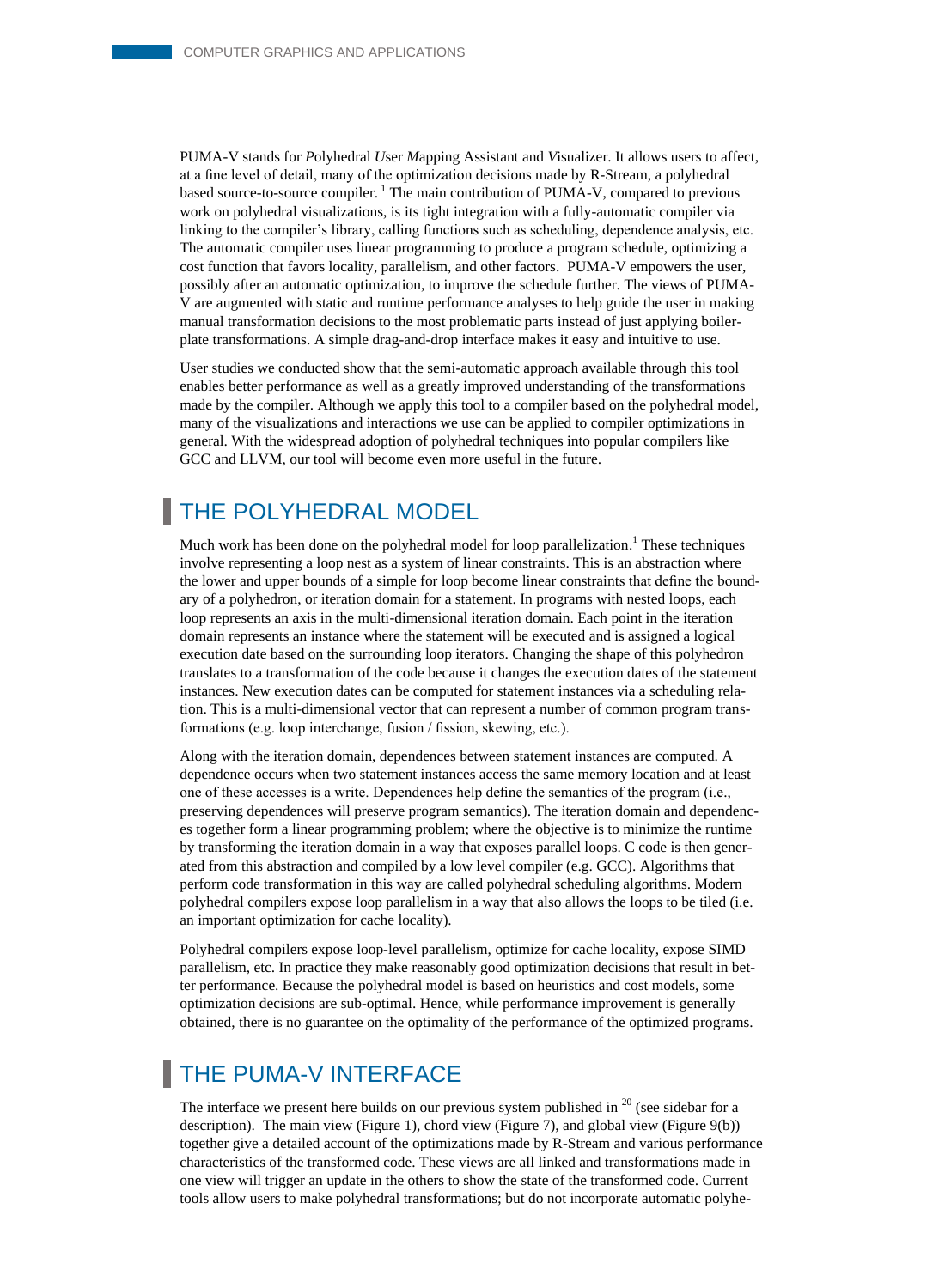PUMA-V stands for *P*olyhedral *U*ser *M*apping Assistant and *V*isualizer. It allows users to affect, at a fine level of detail, many of the optimization decisions made by R-Stream, a polyhedral based source-to-source compiler.<sup>1</sup> The main contribution of PUMA-V, compared to previous work on polyhedral visualizations, is its tight integration with a fully-automatic compiler via linking to the compiler's library, calling functions such as scheduling, dependence analysis, etc. The automatic compiler uses linear programming to produce a program schedule, optimizing a cost function that favors locality, parallelism, and other factors. PUMA-V empowers the user, possibly after an automatic optimization, to improve the schedule further. The views of PUMA-V are augmented with static and runtime performance analyses to help guide the user in making manual transformation decisions to the most problematic parts instead of just applying boilerplate transformations. A simple drag-and-drop interface makes it easy and intuitive to use.

User studies we conducted show that the semi-automatic approach available through this tool enables better performance as well as a greatly improved understanding of the transformations made by the compiler. Although we apply this tool to a compiler based on the polyhedral model, many of the visualizations and interactions we use can be applied to compiler optimizations in general. With the widespread adoption of polyhedral techniques into popular compilers like GCC and LLVM, our tool will become even more useful in the future.

# THE POLYHEDRAL MODEL

Much work has been done on the polyhedral model for loop parallelization.<sup>1</sup> These techniques involve representing a loop nest as a system of linear constraints. This is an abstraction where the lower and upper bounds of a simple for loop become linear constraints that define the boundary of a polyhedron, or iteration domain for a statement. In programs with nested loops, each loop represents an axis in the multi-dimensional iteration domain. Each point in the iteration domain represents an instance where the statement will be executed and is assigned a logical execution date based on the surrounding loop iterators. Changing the shape of this polyhedron translates to a transformation of the code because it changes the execution dates of the statement instances. New execution dates can be computed for statement instances via a scheduling relation. This is a multi-dimensional vector that can represent a number of common program transformations (e.g. loop interchange, fusion / fission, skewing, etc.).

Along with the iteration domain, dependences between statement instances are computed. A dependence occurs when two statement instances access the same memory location and at least one of these accesses is a write. Dependences help define the semantics of the program (i.e., preserving dependences will preserve program semantics). The iteration domain and dependences together form a linear programming problem; where the objective is to minimize the runtime by transforming the iteration domain in a way that exposes parallel loops. C code is then generated from this abstraction and compiled by a low level compiler (e.g. GCC). Algorithms that perform code transformation in this way are called polyhedral scheduling algorithms. Modern polyhedral compilers expose loop parallelism in a way that also allows the loops to be tiled (i.e. an important optimization for cache locality).

Polyhedral compilers expose loop-level parallelism, optimize for cache locality, expose SIMD parallelism, etc. In practice they make reasonably good optimization decisions that result in better performance. Because the polyhedral model is based on heuristics and cost models, some optimization decisions are sub-optimal. Hence, while performance improvement is generally obtained, there is no guarantee on the optimality of the performance of the optimized programs.

# THE PUMA-V INTERFACE

The interface we present here builds on our previous system published in  $^{20}$  (see sidebar for a description). The main view (Figure 1), chord view (Figure 7), and global view (Figure 9(b)) together give a detailed account of the optimizations made by R-Stream and various performance characteristics of the transformed code. These views are all linked and transformations made in one view will trigger an update in the others to show the state of the transformed code. Current tools allow users to make polyhedral transformations; but do not incorporate automatic polyhe-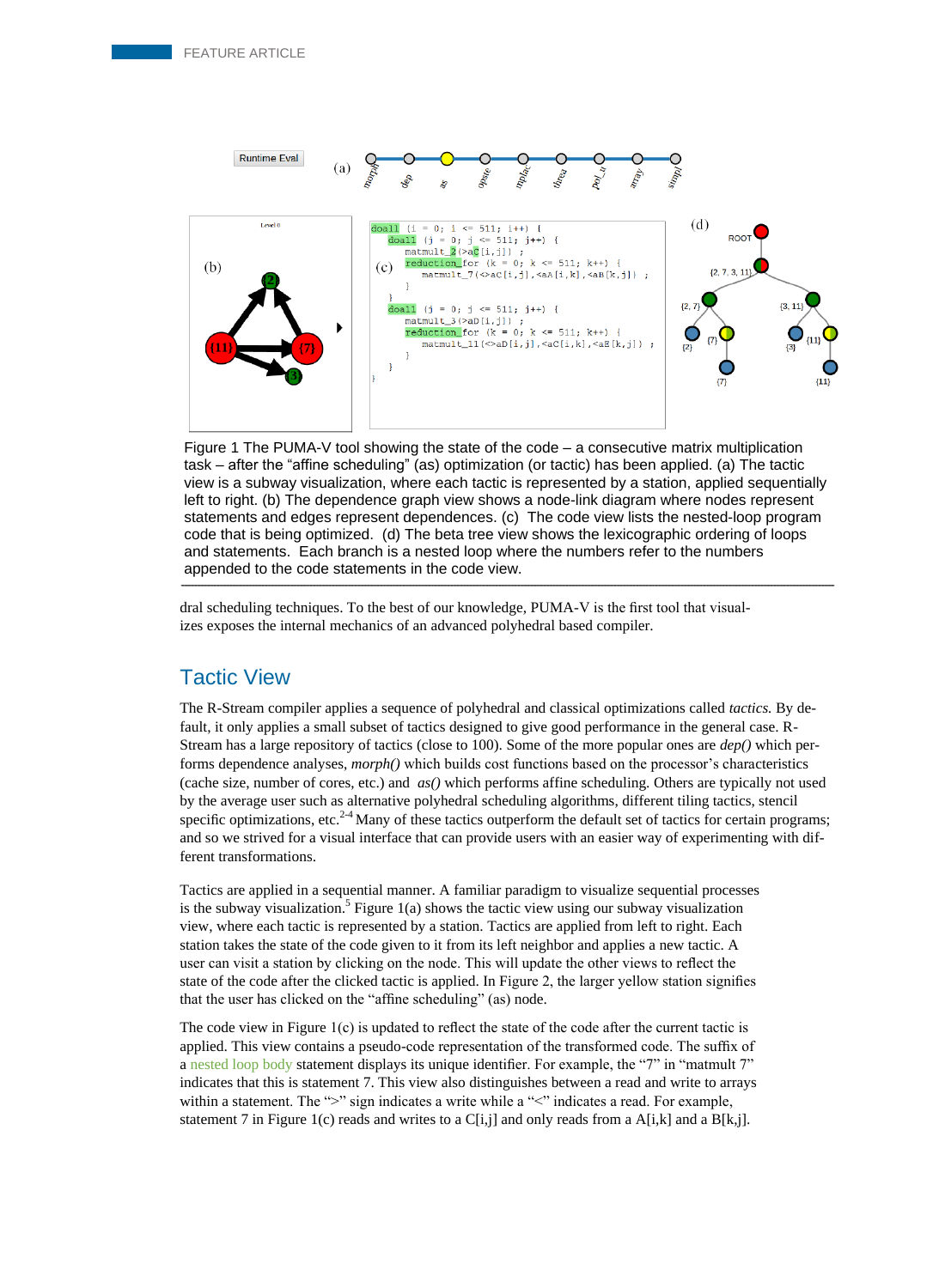

Figure 1 The PUMA-V tool showing the state of the code – a consecutive matrix multiplication task – after the "affine scheduling" (as) optimization (or tactic) has been applied. (a) The tactic view is a subway visualization, where each tactic is represented by a station, applied sequentially left to right. (b) The dependence graph view shows a node-link diagram where nodes represent statements and edges represent dependences. (c) The code view lists the nested-loop program code that is being optimized. (d) The beta tree view shows the lexicographic ordering of loops and statements. Each branch is a nested loop where the numbers refer to the numbers appended to the code statements in the code view.

dral scheduling techniques. To the best of our knowledge, PUMA-V is the first tool that visualizes exposes the internal mechanics of an advanced polyhedral based compiler.

## Tactic View

The R-Stream compiler applies a sequence of polyhedral and classical optimizations called *tactics.* By default, it only applies a small subset of tactics designed to give good performance in the general case. R-Stream has a large repository of tactics (close to 100). Some of the more popular ones are *dep()* which performs dependence analyses, *morph()* which builds cost functions based on the processor's characteristics (cache size, number of cores, etc.) and *as()* which performs affine scheduling. Others are typically not used by the average user such as alternative polyhedral scheduling algorithms, different tiling tactics, stencil specific optimizations, etc.<sup>2-4</sup> Many of these tactics outperform the default set of tactics for certain programs; and so we strived for a visual interface that can provide users with an easier way of experimenting with different transformations.

Tactics are applied in a sequential manner. A familiar paradigm to visualize sequential processes is the subway visualization.<sup>5</sup> Figure 1(a) shows the tactic view using our subway visualization view, where each tactic is represented by a station. Tactics are applied from left to right. Each station takes the state of the code given to it from its left neighbor and applies a new tactic. A user can visit a station by clicking on the node. This will update the other views to reflect the state of the code after the clicked tactic is applied. In Figure 2, the larger yellow station signifies that the user has clicked on the "affine scheduling" (as) node.

The code view in Figure 1(c) is updated to reflect the state of the code after the current tactic is applied. This view contains a pseudo-code representation of the transformed code. The suffix of a nested loop body statement displays its unique identifier. For example, the "7" in "matmult 7" indicates that this is statement 7. This view also distinguishes between a read and write to arrays within a statement. The ">" sign indicates a write while a "<" indicates a read. For example, statement 7 in Figure 1(c) reads and writes to a  $C[i,j]$  and only reads from a  $A[i,k]$  and a  $B[k,j]$ .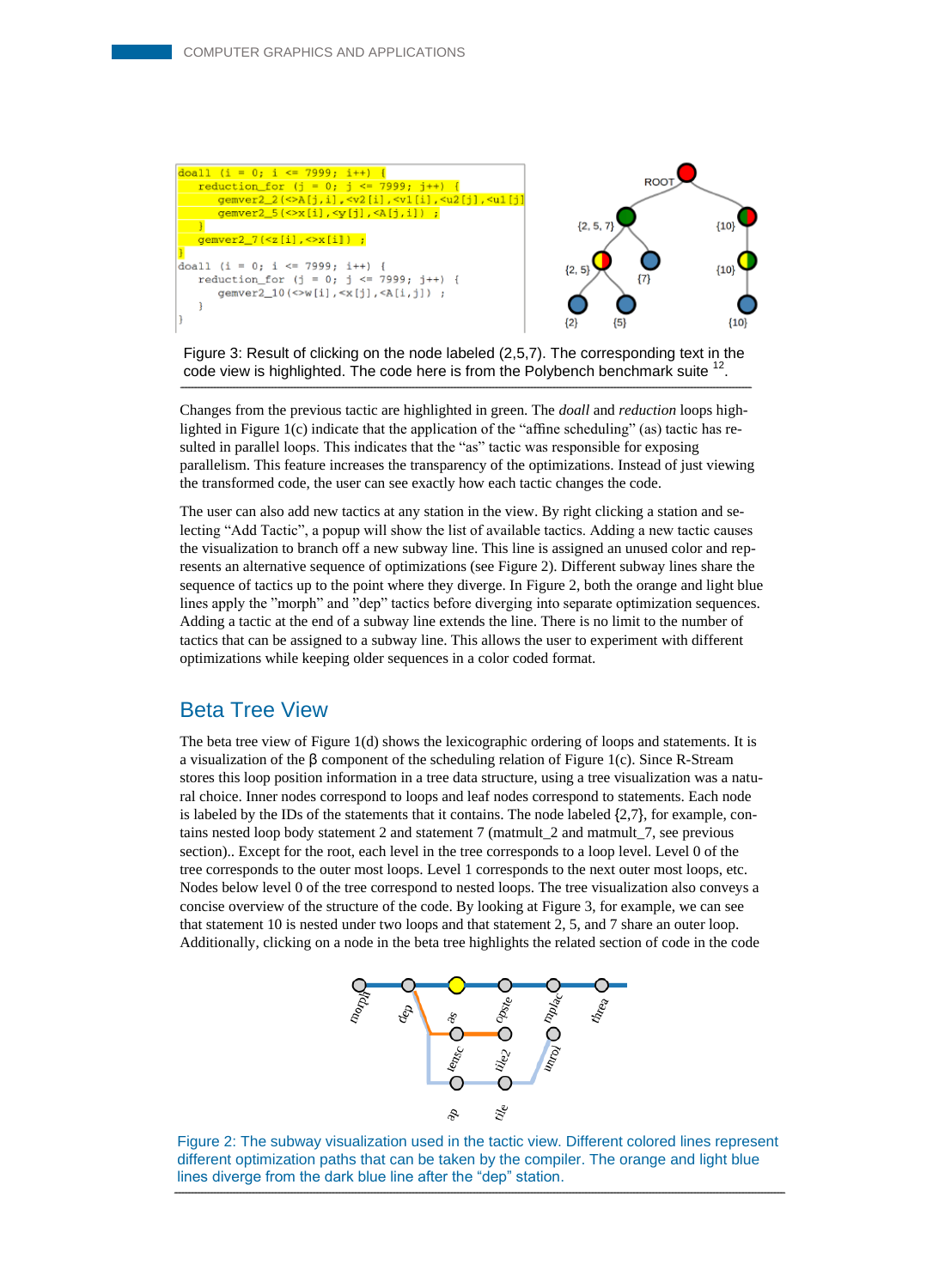

Figure 3: Result of clicking on the node labeled (2,5,7). The corresponding text in the code view is highlighted. The code here is from the Polybench benchmark suite <sup>1</sup> .

Changes from the previous tactic are highlighted in green. The *doall* and *reduction* loops highlighted in Figure  $1(c)$  indicate that the application of the "affine scheduling" (as) tactic has resulted in parallel loops. This indicates that the "as" tactic was responsible for exposing parallelism. This feature increases the transparency of the optimizations. Instead of just viewing the transformed code, the user can see exactly how each tactic changes the code.

The user can also add new tactics at any station in the view. By right clicking a station and selecting "Add Tactic", a popup will show the list of available tactics. Adding a new tactic causes the visualization to branch off a new subway line. This line is assigned an unused color and represents an alternative sequence of optimizations (see Figure 2). Different subway lines share the sequence of tactics up to the point where they diverge. In Figure 2, both the orange and light blue lines apply the "morph" and "dep" tactics before diverging into separate optimization sequences. Adding a tactic at the end of a subway line extends the line. There is no limit to the number of tactics that can be assigned to a subway line. This allows the user to experiment with different optimizations while keeping older sequences in a color coded format.

#### Beta Tree View

The beta tree view of Figure 1(d) shows the lexicographic ordering of loops and statements. It is a visualization of the β component of the scheduling relation of Figure 1(c). Since R-Stream stores this loop position information in a tree data structure, using a tree visualization was a natural choice. Inner nodes correspond to loops and leaf nodes correspond to statements. Each node is labeled by the IDs of the statements that it contains. The node labeled  $\{2,7\}$ , for example, contains nested loop body statement 2 and statement 7 (matmult\_2 and matmult\_7, see previous section).. Except for the root, each level in the tree corresponds to a loop level. Level 0 of the tree corresponds to the outer most loops. Level 1 corresponds to the next outer most loops, etc. Nodes below level 0 of the tree correspond to nested loops. The tree visualization also conveys a concise overview of the structure of the code. By looking at Figure 3, for example, we can see that statement 10 is nested under two loops and that statement 2, 5, and 7 share an outer loop. Additionally, clicking on a node in the beta tree highlights the related section of code in the code



Figure 2: The subway visualization used in the tactic view. Different colored lines represent different optimization paths that can be taken by the compiler. The orange and light blue lines diverge from the dark blue line after the "dep" station.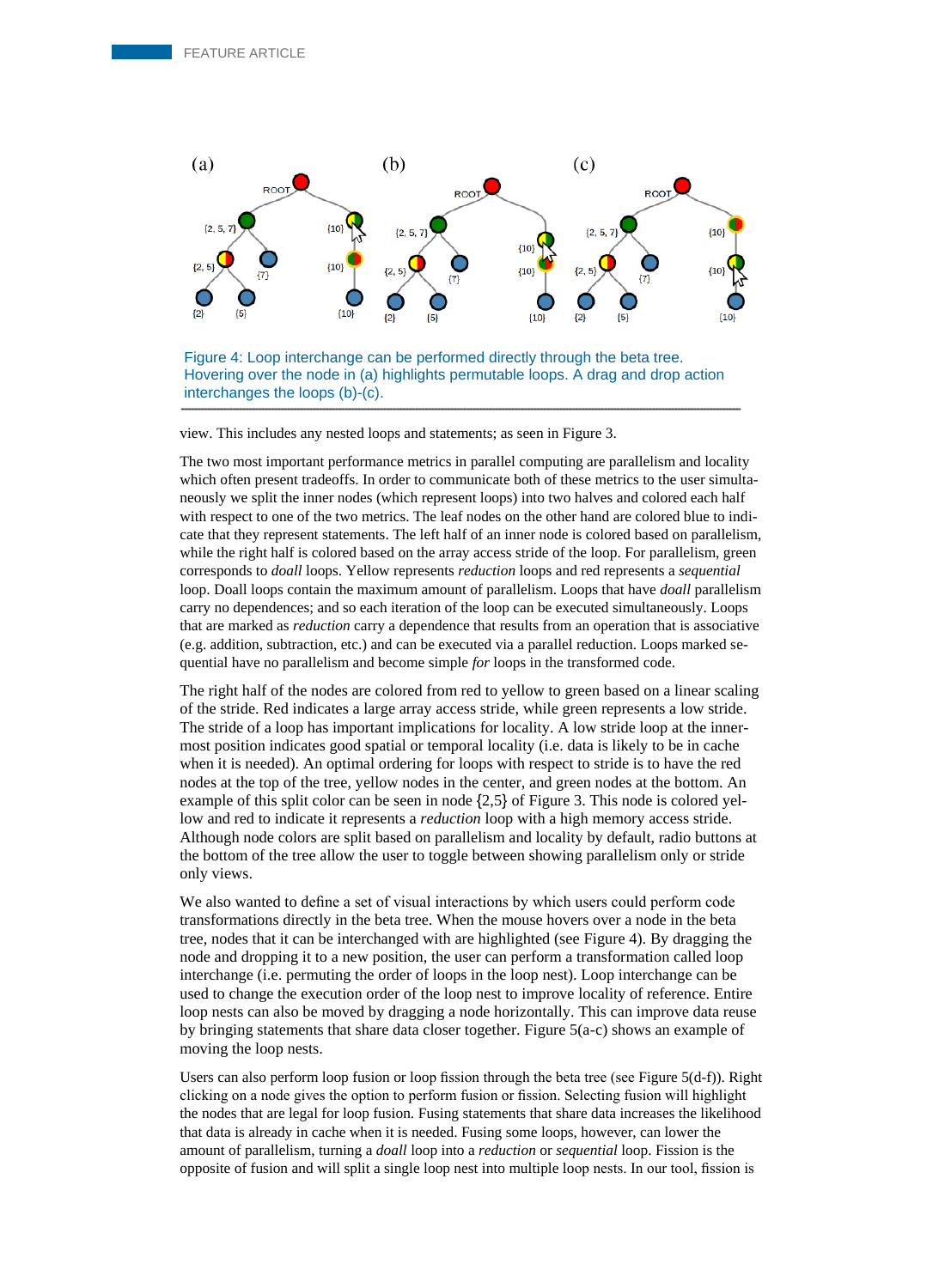

Figure 4: Loop interchange can be performed directly through the beta tree. Hovering over the node in (a) highlights permutable loops. A drag and drop action interchanges the loops (b)-(c).

view. This includes any nested loops and statements; as seen in Figure 3.

The two most important performance metrics in parallel computing are parallelism and locality which often present tradeoffs. In order to communicate both of these metrics to the user simultaneously we split the inner nodes (which represent loops) into two halves and colored each half with respect to one of the two metrics. The leaf nodes on the other hand are colored blue to indicate that they represent statements. The left half of an inner node is colored based on parallelism, while the right half is colored based on the array access stride of the loop. For parallelism, green corresponds to *doall* loops. Yellow represents *reduction* loops and red represents a *sequential*  loop. Doall loops contain the maximum amount of parallelism. Loops that have *doall* parallelism carry no dependences; and so each iteration of the loop can be executed simultaneously. Loops that are marked as *reduction* carry a dependence that results from an operation that is associative (e.g. addition, subtraction, etc.) and can be executed via a parallel reduction. Loops marked sequential have no parallelism and become simple *for* loops in the transformed code.

The right half of the nodes are colored from red to yellow to green based on a linear scaling of the stride. Red indicates a large array access stride, while green represents a low stride. The stride of a loop has important implications for locality. A low stride loop at the innermost position indicates good spatial or temporal locality (i.e. data is likely to be in cache when it is needed). An optimal ordering for loops with respect to stride is to have the red nodes at the top of the tree, yellow nodes in the center, and green nodes at the bottom. An example of this split color can be seen in node {2,5} of Figure 3. This node is colored yellow and red to indicate it represents a *reduction* loop with a high memory access stride. Although node colors are split based on parallelism and locality by default, radio buttons at the bottom of the tree allow the user to toggle between showing parallelism only or stride only views.

We also wanted to define a set of visual interactions by which users could perform code transformations directly in the beta tree. When the mouse hovers over a node in the beta tree, nodes that it can be interchanged with are highlighted (see Figure 4). By dragging the node and dropping it to a new position, the user can perform a transformation called loop interchange (i.e. permuting the order of loops in the loop nest). Loop interchange can be used to change the execution order of the loop nest to improve locality of reference. Entire loop nests can also be moved by dragging a node horizontally. This can improve data reuse by bringing statements that share data closer together. Figure 5(a-c) shows an example of moving the loop nests.

Users can also perform loop fusion or loop fission through the beta tree (see Figure 5(d-f)). Right clicking on a node gives the option to perform fusion or fission. Selecting fusion will highlight the nodes that are legal for loop fusion. Fusing statements that share data increases the likelihood that data is already in cache when it is needed. Fusing some loops, however, can lower the amount of parallelism, turning a *doall* loop into a *reduction* or *sequential* loop. Fission is the opposite of fusion and will split a single loop nest into multiple loop nests. In our tool, fission is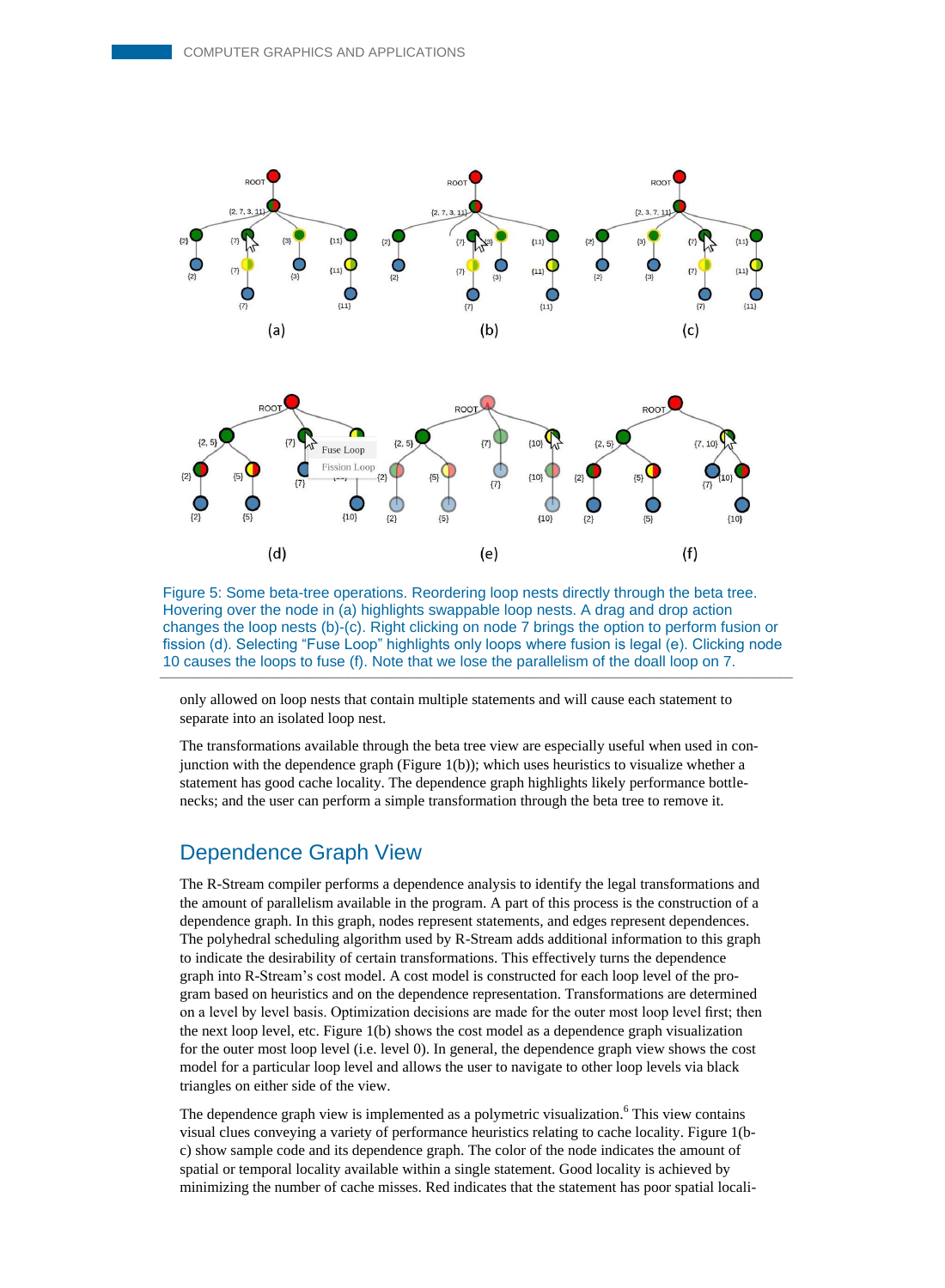![](_page_5_Figure_1.jpeg)

Figure 5: Some beta-tree operations. Reordering loop nests directly through the beta tree. Hovering over the node in (a) highlights swappable loop nests. A drag and drop action changes the loop nests (b)-(c). Right clicking on node 7 brings the option to perform fusion or fission (d). Selecting "Fuse Loop" highlights only loops where fusion is legal (e). Clicking node 10 causes the loops to fuse (f). Note that we lose the parallelism of the doall loop on 7.

only allowed on loop nests that contain multiple statements and will cause each statement to separate into an isolated loop nest.

The transformations available through the beta tree view are especially useful when used in conjunction with the dependence graph (Figure 1(b)); which uses heuristics to visualize whether a statement has good cache locality. The dependence graph highlights likely performance bottlenecks; and the user can perform a simple transformation through the beta tree to remove it.

## Dependence Graph View

The R-Stream compiler performs a dependence analysis to identify the legal transformations and the amount of parallelism available in the program. A part of this process is the construction of a dependence graph. In this graph, nodes represent statements, and edges represent dependences. The polyhedral scheduling algorithm used by R-Stream adds additional information to this graph to indicate the desirability of certain transformations. This effectively turns the dependence graph into R-Stream's cost model. A cost model is constructed for each loop level of the program based on heuristics and on the dependence representation. Transformations are determined on a level by level basis. Optimization decisions are made for the outer most loop level first; then the next loop level, etc. Figure 1(b) shows the cost model as a dependence graph visualization for the outer most loop level (i.e. level 0). In general, the dependence graph view shows the cost model for a particular loop level and allows the user to navigate to other loop levels via black triangles on either side of the view.

The dependence graph view is implemented as a polymetric visualization.<sup>6</sup> This view contains visual clues conveying a variety of performance heuristics relating to cache locality. Figure 1(bc) show sample code and its dependence graph. The color of the node indicates the amount of spatial or temporal locality available within a single statement. Good locality is achieved by minimizing the number of cache misses. Red indicates that the statement has poor spatial locali-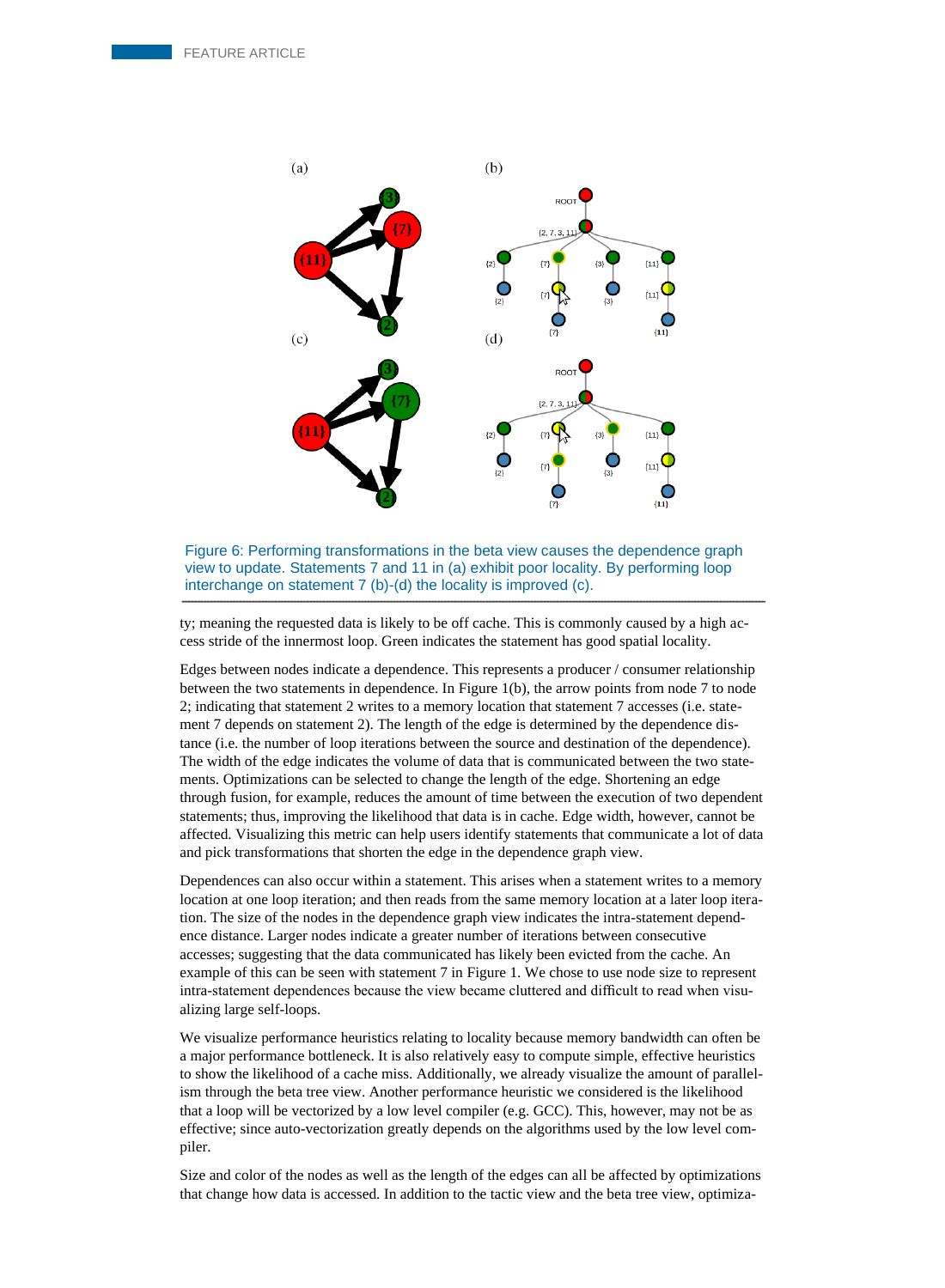![](_page_6_Figure_1.jpeg)

Figure 6: Performing transformations in the beta view causes the dependence graph view to update. Statements 7 and 11 in (a) exhibit poor locality. By performing loop interchange on statement 7 (b)-(d) the locality is improved (c).

ty; meaning the requested data is likely to be off cache. This is commonly caused by a high access stride of the innermost loop. Green indicates the statement has good spatial locality.

Edges between nodes indicate a dependence. This represents a producer / consumer relationship between the two statements in dependence. In Figure 1(b), the arrow points from node 7 to node 2; indicating that statement 2 writes to a memory location that statement 7 accesses (i.e. statement 7 depends on statement 2). The length of the edge is determined by the dependence distance (i.e. the number of loop iterations between the source and destination of the dependence). The width of the edge indicates the volume of data that is communicated between the two statements. Optimizations can be selected to change the length of the edge. Shortening an edge through fusion, for example, reduces the amount of time between the execution of two dependent statements; thus, improving the likelihood that data is in cache. Edge width, however, cannot be affected. Visualizing this metric can help users identify statements that communicate a lot of data and pick transformations that shorten the edge in the dependence graph view.

Dependences can also occur within a statement. This arises when a statement writes to a memory location at one loop iteration; and then reads from the same memory location at a later loop iteration. The size of the nodes in the dependence graph view indicates the intra-statement dependence distance. Larger nodes indicate a greater number of iterations between consecutive accesses; suggesting that the data communicated has likely been evicted from the cache. An example of this can be seen with statement 7 in Figure 1. We chose to use node size to represent intra-statement dependences because the view became cluttered and difficult to read when visualizing large self-loops.

We visualize performance heuristics relating to locality because memory bandwidth can often be a major performance bottleneck. It is also relatively easy to compute simple, effective heuristics to show the likelihood of a cache miss. Additionally, we already visualize the amount of parallelism through the beta tree view. Another performance heuristic we considered is the likelihood that a loop will be vectorized by a low level compiler (e.g. GCC). This, however, may not be as effective; since auto-vectorization greatly depends on the algorithms used by the low level compiler.

Size and color of the nodes as well as the length of the edges can all be affected by optimizations that change how data is accessed. In addition to the tactic view and the beta tree view, optimiza-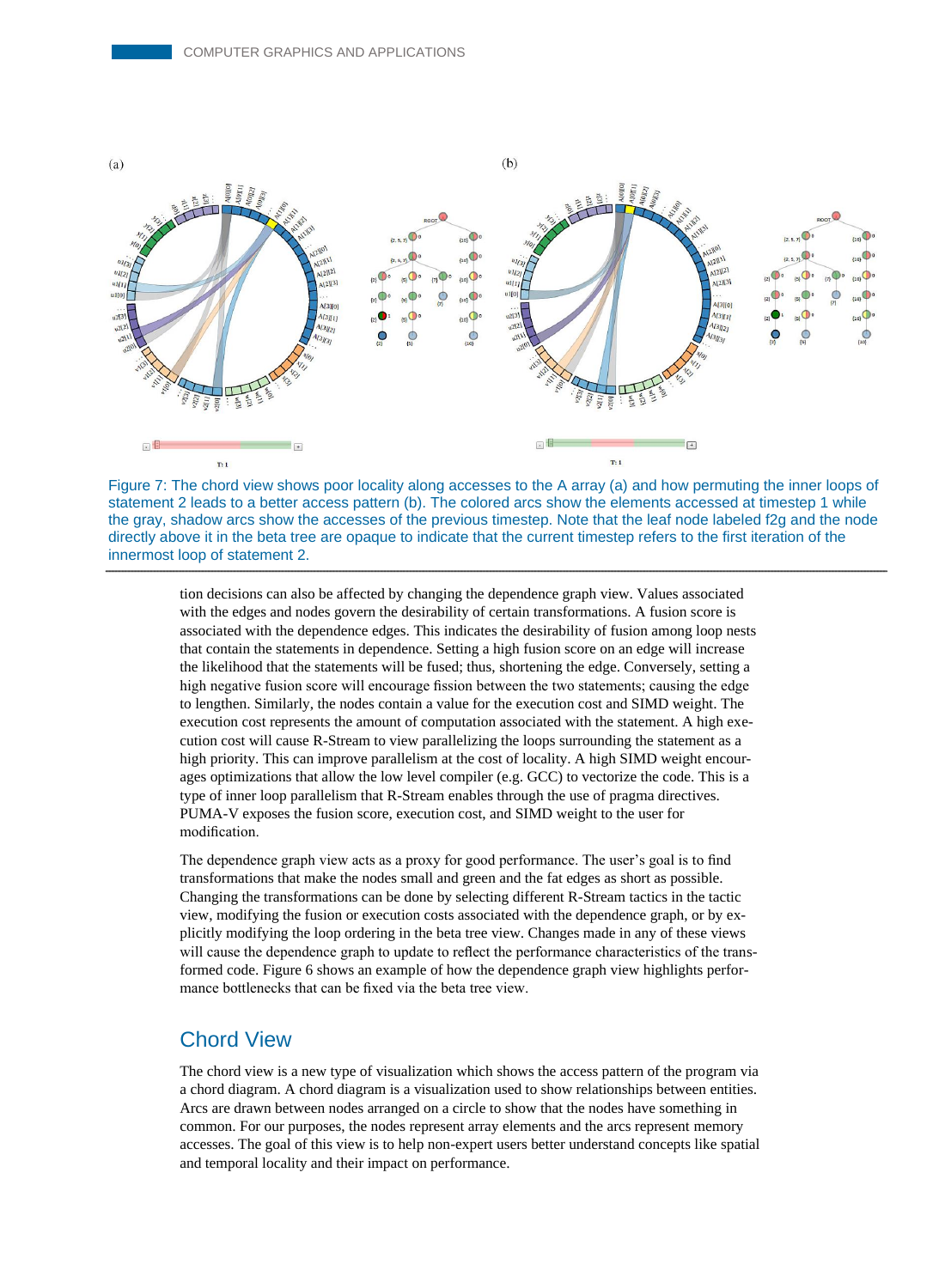![](_page_7_Figure_1.jpeg)

![](_page_7_Figure_2.jpeg)

tion decisions can also be affected by changing the dependence graph view. Values associated with the edges and nodes govern the desirability of certain transformations. A fusion score is associated with the dependence edges. This indicates the desirability of fusion among loop nests that contain the statements in dependence. Setting a high fusion score on an edge will increase the likelihood that the statements will be fused; thus, shortening the edge. Conversely, setting a high negative fusion score will encourage fission between the two statements; causing the edge to lengthen. Similarly, the nodes contain a value for the execution cost and SIMD weight. The execution cost represents the amount of computation associated with the statement. A high execution cost will cause R-Stream to view parallelizing the loops surrounding the statement as a high priority. This can improve parallelism at the cost of locality. A high SIMD weight encourages optimizations that allow the low level compiler (e.g. GCC) to vectorize the code. This is a type of inner loop parallelism that R-Stream enables through the use of pragma directives. PUMA-V exposes the fusion score, execution cost, and SIMD weight to the user for modification.

The dependence graph view acts as a proxy for good performance. The user's goal is to find transformations that make the nodes small and green and the fat edges as short as possible. Changing the transformations can be done by selecting different R-Stream tactics in the tactic view, modifying the fusion or execution costs associated with the dependence graph, or by explicitly modifying the loop ordering in the beta tree view. Changes made in any of these views will cause the dependence graph to update to reflect the performance characteristics of the transformed code. Figure 6 shows an example of how the dependence graph view highlights performance bottlenecks that can be fixed via the beta tree view.

## Chord View

The chord view is a new type of visualization which shows the access pattern of the program via a chord diagram. A chord diagram is a visualization used to show relationships between entities. Arcs are drawn between nodes arranged on a circle to show that the nodes have something in common. For our purposes, the nodes represent array elements and the arcs represent memory accesses. The goal of this view is to help non-expert users better understand concepts like spatial and temporal locality and their impact on performance.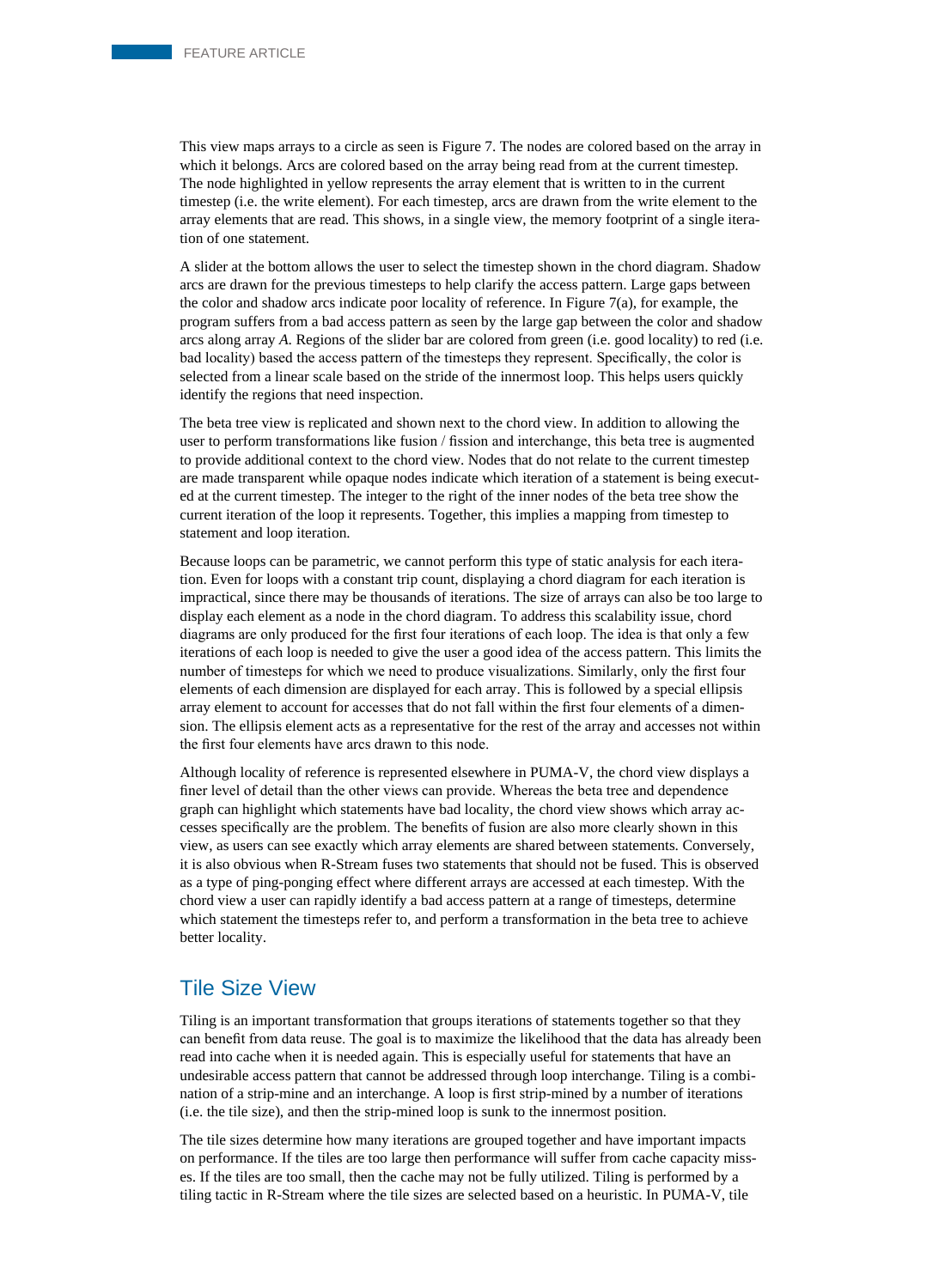This view maps arrays to a circle as seen is Figure 7. The nodes are colored based on the array in which it belongs. Arcs are colored based on the array being read from at the current timestep. The node highlighted in yellow represents the array element that is written to in the current timestep (i.e. the write element). For each timestep, arcs are drawn from the write element to the array elements that are read. This shows, in a single view, the memory footprint of a single iteration of one statement.

A slider at the bottom allows the user to select the timestep shown in the chord diagram. Shadow arcs are drawn for the previous timesteps to help clarify the access pattern. Large gaps between the color and shadow arcs indicate poor locality of reference. In Figure 7(a), for example, the program suffers from a bad access pattern as seen by the large gap between the color and shadow arcs along array *A*. Regions of the slider bar are colored from green (i.e. good locality) to red (i.e. bad locality) based the access pattern of the timesteps they represent. Specifically, the color is selected from a linear scale based on the stride of the innermost loop. This helps users quickly identify the regions that need inspection.

The beta tree view is replicated and shown next to the chord view. In addition to allowing the user to perform transformations like fusion / fission and interchange, this beta tree is augmented to provide additional context to the chord view. Nodes that do not relate to the current timestep are made transparent while opaque nodes indicate which iteration of a statement is being executed at the current timestep. The integer to the right of the inner nodes of the beta tree show the current iteration of the loop it represents. Together, this implies a mapping from timestep to statement and loop iteration.

Because loops can be parametric, we cannot perform this type of static analysis for each iteration. Even for loops with a constant trip count, displaying a chord diagram for each iteration is impractical, since there may be thousands of iterations. The size of arrays can also be too large to display each element as a node in the chord diagram. To address this scalability issue, chord diagrams are only produced for the first four iterations of each loop. The idea is that only a few iterations of each loop is needed to give the user a good idea of the access pattern. This limits the number of timesteps for which we need to produce visualizations. Similarly, only the first four elements of each dimension are displayed for each array. This is followed by a special ellipsis array element to account for accesses that do not fall within the first four elements of a dimension. The ellipsis element acts as a representative for the rest of the array and accesses not within the first four elements have arcs drawn to this node.

Although locality of reference is represented elsewhere in PUMA-V, the chord view displays a finer level of detail than the other views can provide. Whereas the beta tree and dependence graph can highlight which statements have bad locality, the chord view shows which array accesses specifically are the problem. The benefits of fusion are also more clearly shown in this view, as users can see exactly which array elements are shared between statements. Conversely, it is also obvious when R-Stream fuses two statements that should not be fused. This is observed as a type of ping-ponging effect where different arrays are accessed at each timestep. With the chord view a user can rapidly identify a bad access pattern at a range of timesteps, determine which statement the timesteps refer to, and perform a transformation in the beta tree to achieve better locality.

#### Tile Size View

Tiling is an important transformation that groups iterations of statements together so that they can benefit from data reuse. The goal is to maximize the likelihood that the data has already been read into cache when it is needed again. This is especially useful for statements that have an undesirable access pattern that cannot be addressed through loop interchange. Tiling is a combination of a strip-mine and an interchange. A loop is first strip-mined by a number of iterations (i.e. the tile size), and then the strip-mined loop is sunk to the innermost position.

The tile sizes determine how many iterations are grouped together and have important impacts on performance. If the tiles are too large then performance will suffer from cache capacity misses. If the tiles are too small, then the cache may not be fully utilized. Tiling is performed by a tiling tactic in R-Stream where the tile sizes are selected based on a heuristic. In PUMA-V, tile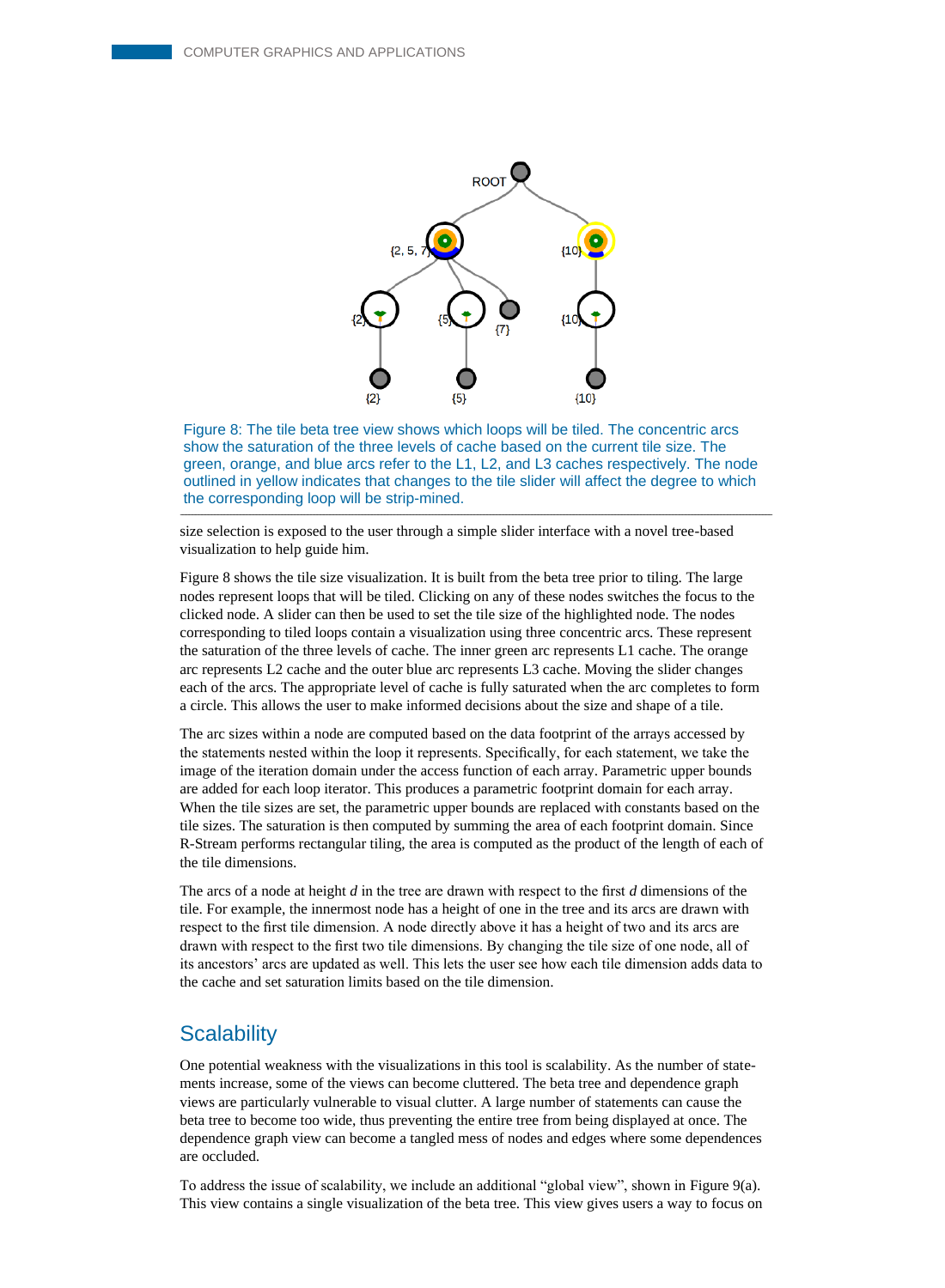![](_page_9_Figure_1.jpeg)

Figure 8: The tile beta tree view shows which loops will be tiled. The concentric arcs show the saturation of the three levels of cache based on the current tile size. The green, orange, and blue arcs refer to the L1, L2, and L3 caches respectively. The node outlined in yellow indicates that changes to the tile slider will affect the degree to which the corresponding loop will be strip-mined.

size selection is exposed to the user through a simple slider interface with a novel tree-based visualization to help guide him.

Figure 8 shows the tile size visualization. It is built from the beta tree prior to tiling. The large nodes represent loops that will be tiled. Clicking on any of these nodes switches the focus to the clicked node. A slider can then be used to set the tile size of the highlighted node. The nodes corresponding to tiled loops contain a visualization using three concentric arcs. These represent the saturation of the three levels of cache. The inner green arc represents L1 cache. The orange arc represents L2 cache and the outer blue arc represents L3 cache. Moving the slider changes each of the arcs. The appropriate level of cache is fully saturated when the arc completes to form a circle. This allows the user to make informed decisions about the size and shape of a tile.

The arc sizes within a node are computed based on the data footprint of the arrays accessed by the statements nested within the loop it represents. Specifically, for each statement, we take the image of the iteration domain under the access function of each array. Parametric upper bounds are added for each loop iterator. This produces a parametric footprint domain for each array. When the tile sizes are set, the parametric upper bounds are replaced with constants based on the tile sizes. The saturation is then computed by summing the area of each footprint domain. Since R-Stream performs rectangular tiling, the area is computed as the product of the length of each of the tile dimensions.

The arcs of a node at height *d* in the tree are drawn with respect to the first *d* dimensions of the tile. For example, the innermost node has a height of one in the tree and its arcs are drawn with respect to the first tile dimension. A node directly above it has a height of two and its arcs are drawn with respect to the first two tile dimensions. By changing the tile size of one node, all of its ancestors' arcs are updated as well. This lets the user see how each tile dimension adds data to the cache and set saturation limits based on the tile dimension.

#### **Scalability**

One potential weakness with the visualizations in this tool is scalability. As the number of statements increase, some of the views can become cluttered. The beta tree and dependence graph views are particularly vulnerable to visual clutter. A large number of statements can cause the beta tree to become too wide, thus preventing the entire tree from being displayed at once. The dependence graph view can become a tangled mess of nodes and edges where some dependences are occluded.

To address the issue of scalability, we include an additional "global view", shown in Figure 9(a). This view contains a single visualization of the beta tree. This view gives users a way to focus on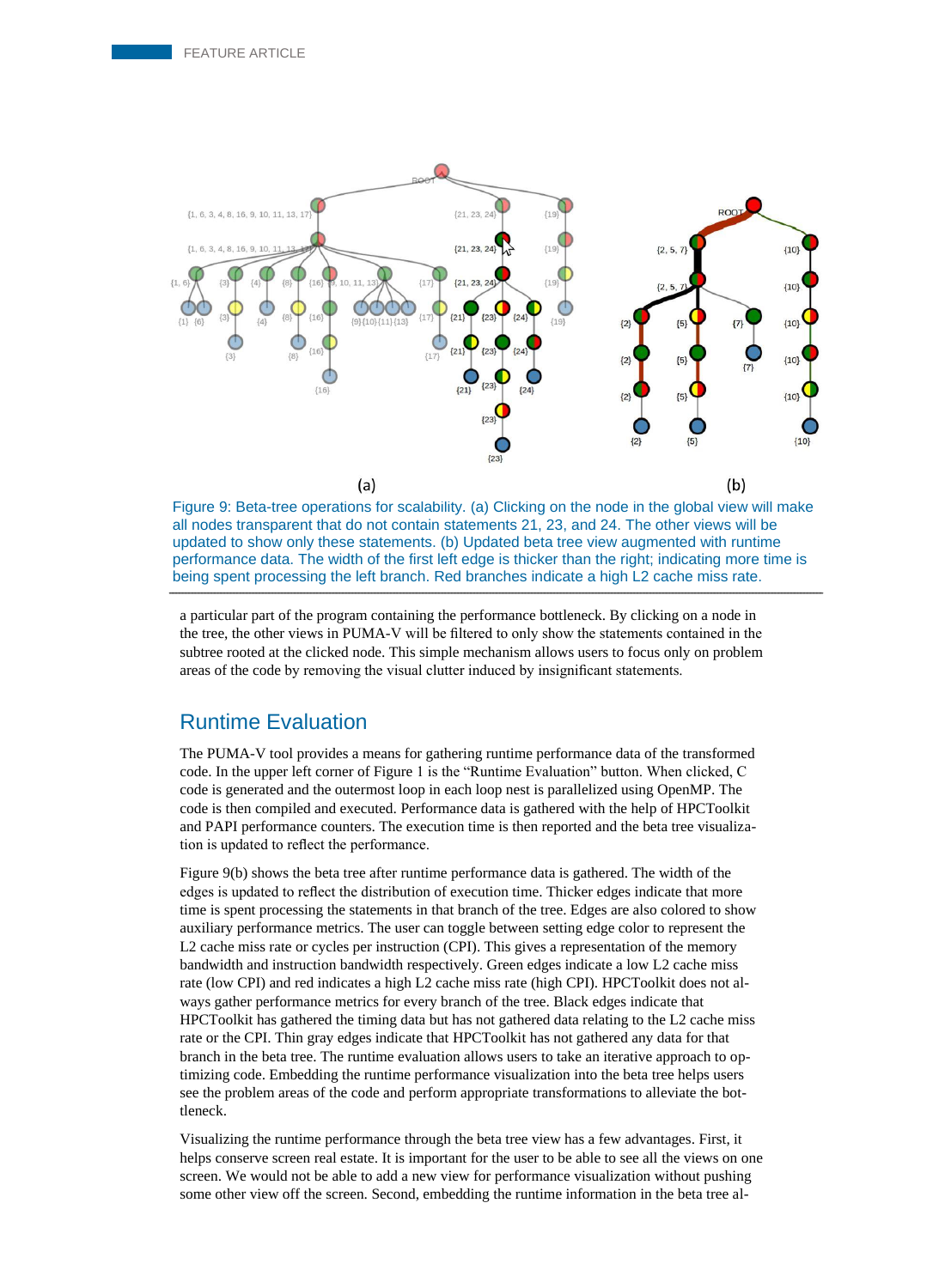![](_page_10_Figure_1.jpeg)

Figure 9: Beta-tree operations for scalability. (a) Clicking on the node in the global view will make all nodes transparent that do not contain statements 21, 23, and 24. The other views will be updated to show only these statements. (b) Updated beta tree view augmented with runtime performance data. The width of the first left edge is thicker than the right; indicating more time is being spent processing the left branch. Red branches indicate a high L2 cache miss rate.

a particular part of the program containing the performance bottleneck. By clicking on a node in the tree, the other views in PUMA-V will be filtered to only show the statements contained in the subtree rooted at the clicked node. This simple mechanism allows users to focus only on problem areas of the code by removing the visual clutter induced by insignificant statements.

#### Runtime Evaluation

The PUMA-V tool provides a means for gathering runtime performance data of the transformed code. In the upper left corner of Figure 1 is the "Runtime Evaluation" button. When clicked, C code is generated and the outermost loop in each loop nest is parallelized using OpenMP. The code is then compiled and executed. Performance data is gathered with the help of HPCToolkit and PAPI performance counters. The execution time is then reported and the beta tree visualization is updated to reflect the performance.

Figure 9(b) shows the beta tree after runtime performance data is gathered. The width of the edges is updated to reflect the distribution of execution time. Thicker edges indicate that more time is spent processing the statements in that branch of the tree. Edges are also colored to show auxiliary performance metrics. The user can toggle between setting edge color to represent the L2 cache miss rate or cycles per instruction (CPI). This gives a representation of the memory bandwidth and instruction bandwidth respectively. Green edges indicate a low L2 cache miss rate (low CPI) and red indicates a high L2 cache miss rate (high CPI). HPCToolkit does not always gather performance metrics for every branch of the tree. Black edges indicate that HPCToolkit has gathered the timing data but has not gathered data relating to the L2 cache miss rate or the CPI. Thin gray edges indicate that HPCToolkit has not gathered any data for that branch in the beta tree. The runtime evaluation allows users to take an iterative approach to optimizing code. Embedding the runtime performance visualization into the beta tree helps users see the problem areas of the code and perform appropriate transformations to alleviate the bottleneck.

Visualizing the runtime performance through the beta tree view has a few advantages. First, it helps conserve screen real estate. It is important for the user to be able to see all the views on one screen. We would not be able to add a new view for performance visualization without pushing some other view off the screen. Second, embedding the runtime information in the beta tree al-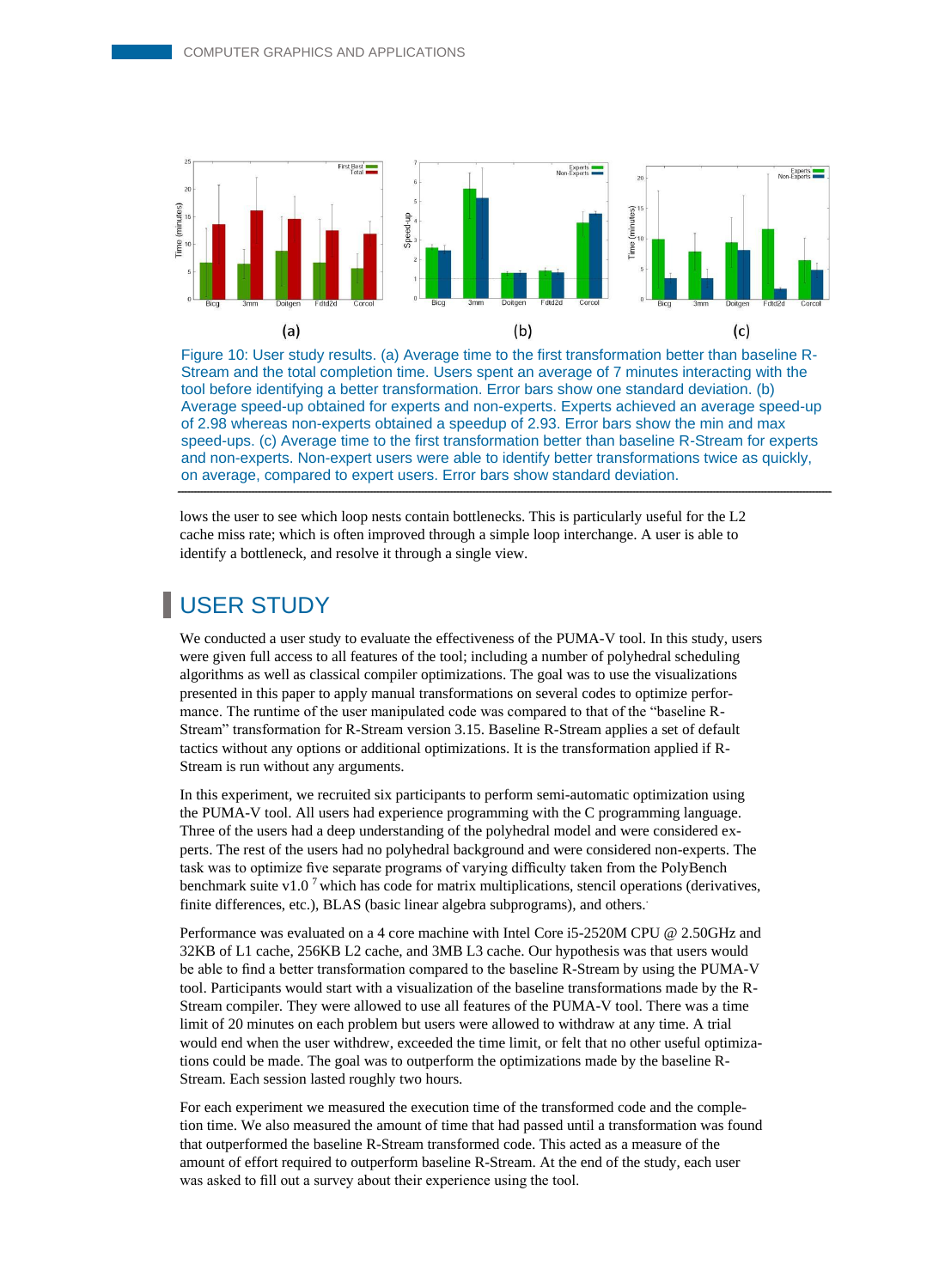![](_page_11_Figure_1.jpeg)

Figure 10: User study results. (a) Average time to the first transformation better than baseline R-Stream and the total completion time. Users spent an average of 7 minutes interacting with the tool before identifying a better transformation. Error bars show one standard deviation. (b) Average speed-up obtained for experts and non-experts. Experts achieved an average speed-up of 2.98 whereas non-experts obtained a speedup of 2.93. Error bars show the min and max speed-ups. (c) Average time to the first transformation better than baseline R-Stream for experts and non-experts. Non-expert users were able to identify better transformations twice as quickly, on average, compared to expert users. Error bars show standard deviation.

lows the user to see which loop nests contain bottlenecks. This is particularly useful for the L2 cache miss rate; which is often improved through a simple loop interchange. A user is able to identify a bottleneck, and resolve it through a single view.

# USER STUDY

We conducted a user study to evaluate the effectiveness of the PUMA-V tool. In this study, users were given full access to all features of the tool; including a number of polyhedral scheduling algorithms as well as classical compiler optimizations. The goal was to use the visualizations presented in this paper to apply manual transformations on several codes to optimize performance. The runtime of the user manipulated code was compared to that of the "baseline R-Stream" transformation for R-Stream version 3.15. Baseline R-Stream applies a set of default tactics without any options or additional optimizations. It is the transformation applied if R-Stream is run without any arguments.

In this experiment, we recruited six participants to perform semi-automatic optimization using the PUMA-V tool. All users had experience programming with the C programming language. Three of the users had a deep understanding of the polyhedral model and were considered experts. The rest of the users had no polyhedral background and were considered non-experts. The task was to optimize five separate programs of varying difficulty taken from the PolyBench benchmark suite v1.0<sup>7</sup> which has code for matrix multiplications, stencil operations (derivatives, finite differences, etc.), BLAS (basic linear algebra subprograms), and others.

Performance was evaluated on a 4 core machine with Intel Core i5-2520M CPU @ 2.50GHz and 32KB of L1 cache, 256KB L2 cache, and 3MB L3 cache. Our hypothesis was that users would be able to find a better transformation compared to the baseline R-Stream by using the PUMA-V tool. Participants would start with a visualization of the baseline transformations made by the R-Stream compiler. They were allowed to use all features of the PUMA-V tool. There was a time limit of 20 minutes on each problem but users were allowed to withdraw at any time. A trial would end when the user withdrew, exceeded the time limit, or felt that no other useful optimizations could be made. The goal was to outperform the optimizations made by the baseline R-Stream. Each session lasted roughly two hours.

For each experiment we measured the execution time of the transformed code and the completion time. We also measured the amount of time that had passed until a transformation was found that outperformed the baseline R-Stream transformed code. This acted as a measure of the amount of effort required to outperform baseline R-Stream. At the end of the study, each user was asked to fill out a survey about their experience using the tool.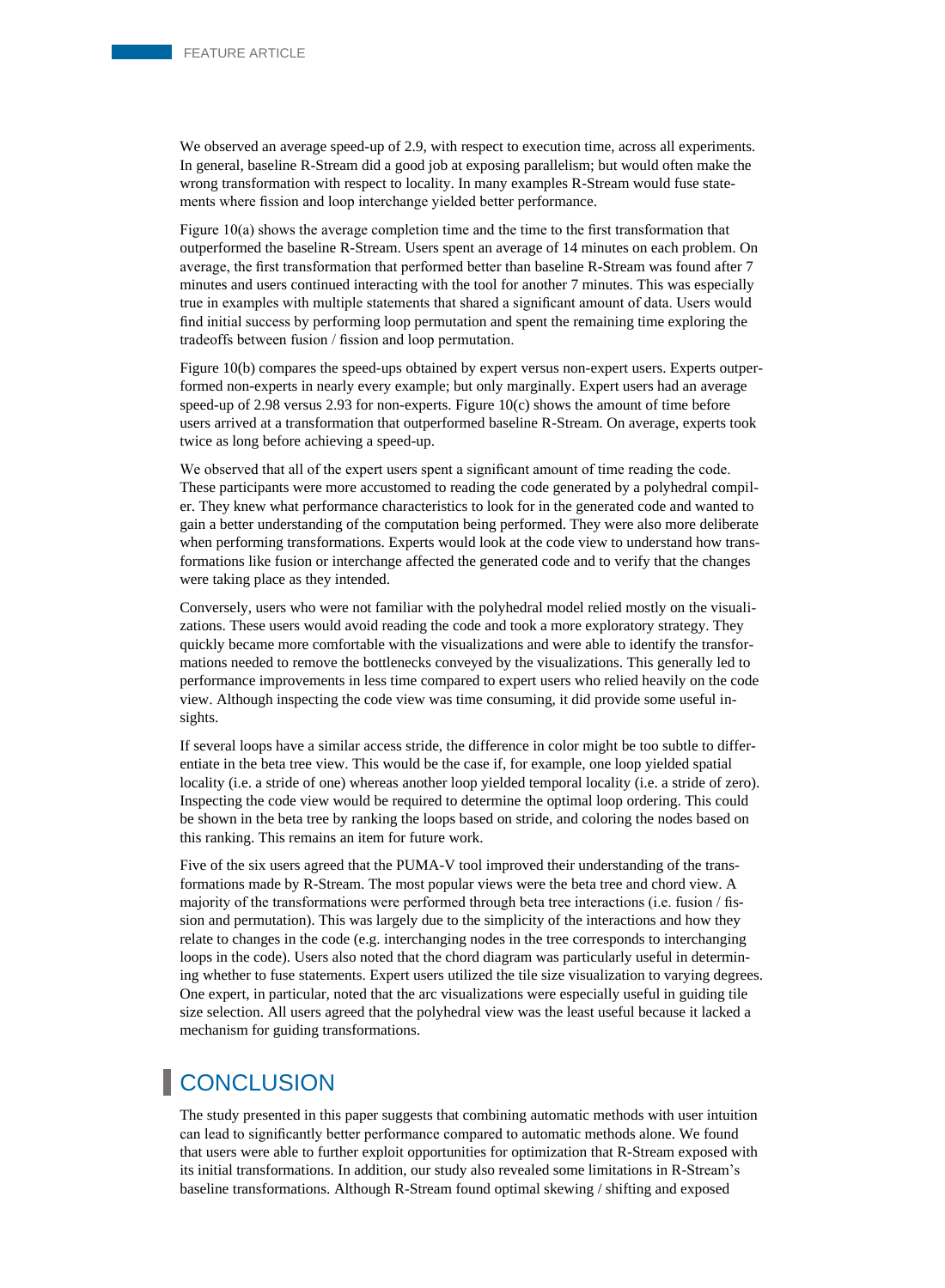We observed an average speed-up of 2.9, with respect to execution time, across all experiments. In general, baseline R-Stream did a good job at exposing parallelism; but would often make the wrong transformation with respect to locality. In many examples R-Stream would fuse statements where fission and loop interchange yielded better performance.

Figure 10(a) shows the average completion time and the time to the first transformation that outperformed the baseline R-Stream. Users spent an average of 14 minutes on each problem. On average, the first transformation that performed better than baseline R-Stream was found after 7 minutes and users continued interacting with the tool for another 7 minutes. This was especially true in examples with multiple statements that shared a significant amount of data. Users would find initial success by performing loop permutation and spent the remaining time exploring the tradeoffs between fusion / fission and loop permutation.

Figure 10(b) compares the speed-ups obtained by expert versus non-expert users. Experts outperformed non-experts in nearly every example; but only marginally. Expert users had an average speed-up of 2.98 versus 2.93 for non-experts. Figure 10(c) shows the amount of time before users arrived at a transformation that outperformed baseline R-Stream. On average, experts took twice as long before achieving a speed-up.

We observed that all of the expert users spent a significant amount of time reading the code. These participants were more accustomed to reading the code generated by a polyhedral compiler. They knew what performance characteristics to look for in the generated code and wanted to gain a better understanding of the computation being performed. They were also more deliberate when performing transformations. Experts would look at the code view to understand how transformations like fusion or interchange affected the generated code and to verify that the changes were taking place as they intended.

Conversely, users who were not familiar with the polyhedral model relied mostly on the visualizations. These users would avoid reading the code and took a more exploratory strategy. They quickly became more comfortable with the visualizations and were able to identify the transformations needed to remove the bottlenecks conveyed by the visualizations. This generally led to performance improvements in less time compared to expert users who relied heavily on the code view. Although inspecting the code view was time consuming, it did provide some useful insights.

If several loops have a similar access stride, the difference in color might be too subtle to differentiate in the beta tree view. This would be the case if, for example, one loop yielded spatial locality (i.e. a stride of one) whereas another loop yielded temporal locality (i.e. a stride of zero). Inspecting the code view would be required to determine the optimal loop ordering. This could be shown in the beta tree by ranking the loops based on stride, and coloring the nodes based on this ranking. This remains an item for future work.

Five of the six users agreed that the PUMA-V tool improved their understanding of the transformations made by R-Stream. The most popular views were the beta tree and chord view. A majority of the transformations were performed through beta tree interactions (i.e. fusion / fission and permutation). This was largely due to the simplicity of the interactions and how they relate to changes in the code (e.g. interchanging nodes in the tree corresponds to interchanging loops in the code). Users also noted that the chord diagram was particularly useful in determining whether to fuse statements. Expert users utilized the tile size visualization to varying degrees. One expert, in particular, noted that the arc visualizations were especially useful in guiding tile size selection. All users agreed that the polyhedral view was the least useful because it lacked a mechanism for guiding transformations.

# **CONCLUSION**

The study presented in this paper suggests that combining automatic methods with user intuition can lead to significantly better performance compared to automatic methods alone. We found that users were able to further exploit opportunities for optimization that R-Stream exposed with its initial transformations. In addition, our study also revealed some limitations in R-Stream's baseline transformations. Although R-Stream found optimal skewing / shifting and exposed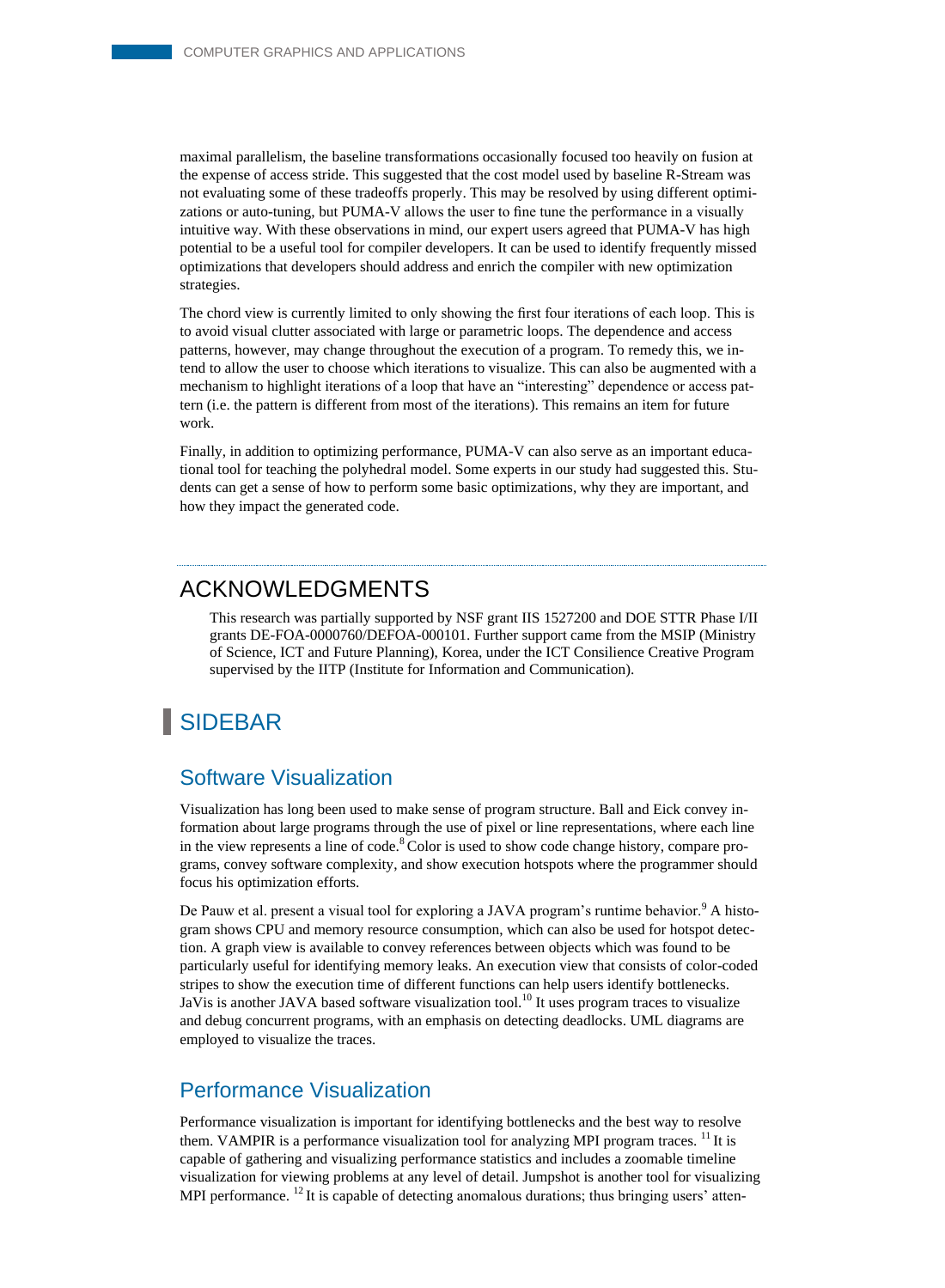maximal parallelism, the baseline transformations occasionally focused too heavily on fusion at the expense of access stride. This suggested that the cost model used by baseline R-Stream was not evaluating some of these tradeoffs properly. This may be resolved by using different optimizations or auto-tuning, but PUMA-V allows the user to fine tune the performance in a visually intuitive way. With these observations in mind, our expert users agreed that PUMA-V has high potential to be a useful tool for compiler developers. It can be used to identify frequently missed optimizations that developers should address and enrich the compiler with new optimization strategies.

The chord view is currently limited to only showing the first four iterations of each loop. This is to avoid visual clutter associated with large or parametric loops. The dependence and access patterns, however, may change throughout the execution of a program. To remedy this, we intend to allow the user to choose which iterations to visualize. This can also be augmented with a mechanism to highlight iterations of a loop that have an "interesting" dependence or access pattern (i.e. the pattern is different from most of the iterations). This remains an item for future work.

Finally, in addition to optimizing performance, PUMA-V can also serve as an important educational tool for teaching the polyhedral model. Some experts in our study had suggested this. Students can get a sense of how to perform some basic optimizations, why they are important, and how they impact the generated code.

## ACKNOWLEDGMENTS

This research was partially supported by NSF grant IIS 1527200 and DOE STTR Phase I/II grants DE-FOA-0000760/DEFOA-000101. Further support came from the MSIP (Ministry of Science, ICT and Future Planning), Korea, under the ICT Consilience Creative Program supervised by the IITP (Institute for Information and Communication).

# **SIDEBAR**

#### Software Visualization

Visualization has long been used to make sense of program structure. Ball and Eick convey information about large programs through the use of pixel or line representations, where each line in the view represents a line of code. $8^{\circ}$ Color is used to show code change history, compare programs, convey software complexity, and show execution hotspots where the programmer should focus his optimization efforts.

De Pauw et al. present a visual tool for exploring a JAVA program's runtime behavior.<sup>9</sup> A histogram shows CPU and memory resource consumption, which can also be used for hotspot detection. A graph view is available to convey references between objects which was found to be particularly useful for identifying memory leaks. An execution view that consists of color-coded stripes to show the execution time of different functions can help users identify bottlenecks. JaVis is another JAVA based software visualization tool.<sup>10</sup> It uses program traces to visualize and debug concurrent programs, with an emphasis on detecting deadlocks. UML diagrams are employed to visualize the traces.

#### Performance Visualization

Performance visualization is important for identifying bottlenecks and the best way to resolve them. VAMPIR is a performance visualization tool for analyzing MPI program traces. <sup>11</sup> It is capable of gathering and visualizing performance statistics and includes a zoomable timeline visualization for viewing problems at any level of detail. Jumpshot is another tool for visualizing MPI performance.  $^{12}$  It is capable of detecting anomalous durations; thus bringing users' atten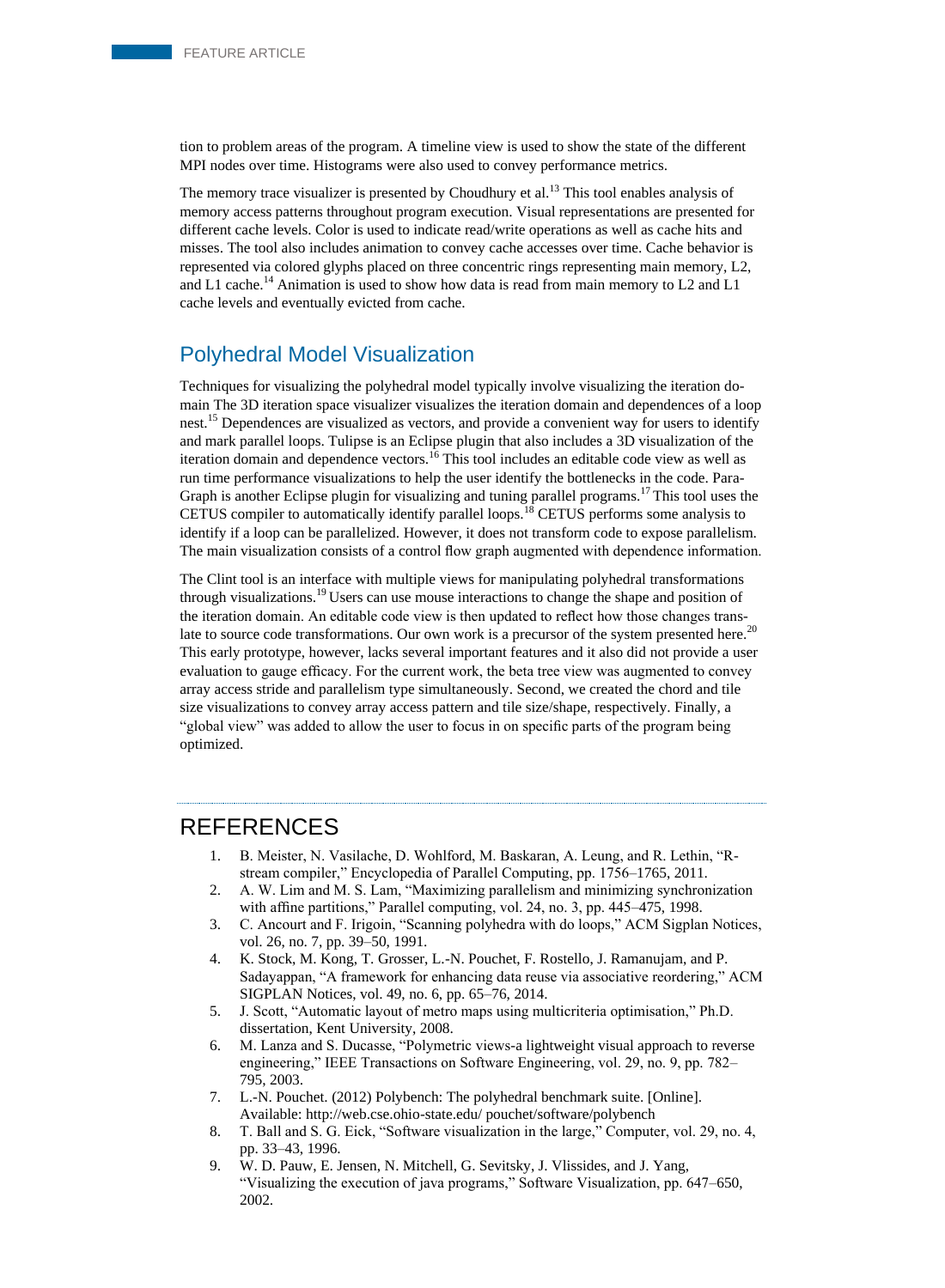tion to problem areas of the program. A timeline view is used to show the state of the different MPI nodes over time. Histograms were also used to convey performance metrics.

The memory trace visualizer is presented by Choudhury et al.<sup>13</sup> This tool enables analysis of memory access patterns throughout program execution. Visual representations are presented for different cache levels. Color is used to indicate read/write operations as well as cache hits and misses. The tool also includes animation to convey cache accesses over time. Cache behavior is represented via colored glyphs placed on three concentric rings representing main memory, L2, and L1 cache.<sup>14</sup> Animation is used to show how data is read from main memory to L2 and L1 cache levels and eventually evicted from cache.

## Polyhedral Model Visualization

Techniques for visualizing the polyhedral model typically involve visualizing the iteration domain The 3D iteration space visualizer visualizes the iteration domain and dependences of a loop nest.<sup>15</sup> Dependences are visualized as vectors, and provide a convenient way for users to identify and mark parallel loops. Tulipse is an Eclipse plugin that also includes a 3D visualization of the iteration domain and dependence vectors.<sup>16</sup> This tool includes an editable code view as well as run time performance visualizations to help the user identify the bottlenecks in the code. Para-Graph is another Eclipse plugin for visualizing and tuning parallel programs.<sup>17</sup> This tool uses the CETUS compiler to automatically identify parallel loops.<sup>18</sup> CETUS performs some analysis to identify if a loop can be parallelized. However, it does not transform code to expose parallelism. The main visualization consists of a control flow graph augmented with dependence information.

The Clint tool is an interface with multiple views for manipulating polyhedral transformations through visualizations.<sup>19</sup> Users can use mouse interactions to change the shape and position of the iteration domain. An editable code view is then updated to reflect how those changes translate to source code transformations. Our own work is a precursor of the system presented here.<sup>20</sup> This early prototype, however, lacks several important features and it also did not provide a user evaluation to gauge efficacy. For the current work, the beta tree view was augmented to convey array access stride and parallelism type simultaneously. Second, we created the chord and tile size visualizations to convey array access pattern and tile size/shape, respectively. Finally, a "global view" was added to allow the user to focus in on specific parts of the program being optimized.

## REFERENCES

- 1. B. Meister, N. Vasilache, D. Wohlford, M. Baskaran, A. Leung, and R. Lethin, "Rstream compiler," Encyclopedia of Parallel Computing, pp. 1756–1765, 2011.
- 2. A. W. Lim and M. S. Lam, "Maximizing parallelism and minimizing synchronization with affine partitions," Parallel computing, vol. 24, no. 3, pp. 445–475, 1998.
- 3. C. Ancourt and F. Irigoin, "Scanning polyhedra with do loops," ACM Sigplan Notices, vol. 26, no. 7, pp. 39–50, 1991.
- 4. K. Stock, M. Kong, T. Grosser, L.-N. Pouchet, F. Rostello, J. Ramanujam, and P. Sadayappan, "A framework for enhancing data reuse via associative reordering," ACM SIGPLAN Notices, vol. 49, no. 6, pp. 65–76, 2014.
- 5. J. Scott, "Automatic layout of metro maps using multicriteria optimisation," Ph.D. dissertation, Kent University, 2008.
- 6. M. Lanza and S. Ducasse, "Polymetric views-a lightweight visual approach to reverse engineering," IEEE Transactions on Software Engineering, vol. 29, no. 9, pp. 782– 795, 2003.
- 7. L.-N. Pouchet. (2012) Polybench: The polyhedral benchmark suite. [Online]. Available: http://web.cse.ohio-state.edu/ pouchet/software/polybench
- 8. T. Ball and S. G. Eick, "Software visualization in the large," Computer, vol. 29, no. 4, pp. 33–43, 1996.
- 9. W. D. Pauw, E. Jensen, N. Mitchell, G. Sevitsky, J. Vlissides, and J. Yang, "Visualizing the execution of java programs," Software Visualization, pp. 647–650, 2002.